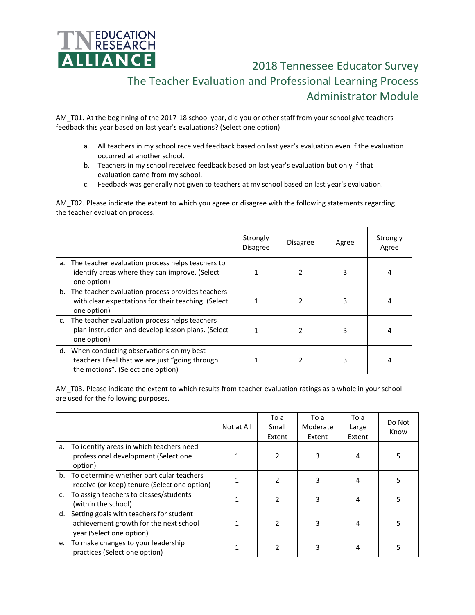

 2018 Tennessee Educator Survey The Teacher Evaluation and Professional Learning Process Administrator Module

AM\_T01. At the beginning of the 2017-18 school year, did you or other staff from your school give teachers feedback this year based on last year's evaluations? (Select one option)

- a. All teachers in my school received feedback based on last year's evaluation even if the evaluation occurred at another school.
- b. Teachers in my school received feedback based on last year's evaluation but only if that evaluation came from my school.
- c. Feedback was generally not given to teachers at my school based on last year's evaluation.

AM T02. Please indicate the extent to which you agree or disagree with the following statements regarding the teacher evaluation process.

|                                                                                                                                    | Strongly<br><b>Disagree</b> | <b>Disagree</b> | Agree | Strongly<br>Agree |
|------------------------------------------------------------------------------------------------------------------------------------|-----------------------------|-----------------|-------|-------------------|
| a. The teacher evaluation process helps teachers to<br>identify areas where they can improve. (Select<br>one option)               |                             |                 | 3     | 4                 |
| b. The teacher evaluation process provides teachers<br>with clear expectations for their teaching. (Select<br>one option)          |                             |                 | 3     |                   |
| c. The teacher evaluation process helps teachers<br>plan instruction and develop lesson plans. (Select<br>one option)              |                             |                 | 3     | 4                 |
| d. When conducting observations on my best<br>teachers I feel that we are just "going through<br>the motions". (Select one option) |                             |                 | 3     |                   |

AM\_T03. Please indicate the extent to which results from teacher evaluation ratings as a whole in your school are used for the following purposes.

|    |                                                                                                               | Not at All | To a<br>Small<br>Extent | To a<br>Moderate<br>Extent | To a<br>Large<br>Extent | Do Not<br>Know |
|----|---------------------------------------------------------------------------------------------------------------|------------|-------------------------|----------------------------|-------------------------|----------------|
|    | a. To identify areas in which teachers need<br>professional development (Select one<br>option)                |            |                         | 3                          |                         | 5              |
|    | b. To determine whether particular teachers<br>receive (or keep) tenure (Select one option)                   |            |                         | 3                          | 4                       | 5              |
| c. | To assign teachers to classes/students<br>(within the school)                                                 |            |                         | 3                          | 4                       | 5              |
| d. | Setting goals with teachers for student<br>achievement growth for the next school<br>year (Select one option) |            | 2                       | 3                          | 4                       | 5              |
|    | e. To make changes to your leadership<br>practices (Select one option)                                        |            |                         | 3                          |                         | 5              |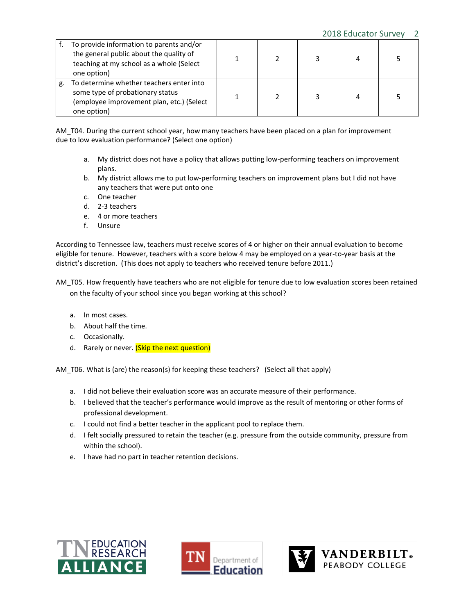|    | To provide information to parents and/or<br>the general public about the quality of<br>teaching at my school as a whole (Select<br>one option) |  |  |  |
|----|------------------------------------------------------------------------------------------------------------------------------------------------|--|--|--|
| g. | To determine whether teachers enter into<br>some type of probationary status<br>(employee improvement plan, etc.) (Select<br>one option)       |  |  |  |

AM\_T04. During the current school year, how many teachers have been placed on a plan for improvement due to low evaluation performance? (Select one option)

- a. My district does not have a policy that allows putting low-performing teachers on improvement plans.
- b. My district allows me to put low-performing teachers on improvement plans but I did not have any teachers that were put onto one
- c. One teacher
- d. 2-3 teachers
- e. 4 or more teachers
- f. Unsure

According to Tennessee law, teachers must receive scores of 4 or higher on their annual evaluation to become eligible for tenure. However, teachers with a score below 4 may be employed on a year-to-year basis at the district's discretion. (This does not apply to teachers who received tenure before 2011.)

AM\_T05. How frequently have teachers who are not eligible for tenure due to low evaluation scores been retained on the faculty of your school since you began working at this school?

- a. In most cases.
- b. About half the time.
- c. Occasionally.
- d. Rarely or never. (Skip the next question)

AM\_T06. What is (are) the reason(s) for keeping these teachers? (Select all that apply)

- a. I did not believe their evaluation score was an accurate measure of their performance.
- b. I believed that the teacher's performance would improve as the result of mentoring or other forms of professional development.
- c. I could not find a better teacher in the applicant pool to replace them.
- d. I felt socially pressured to retain the teacher (e.g. pressure from the outside community, pressure from within the school).
- e. I have had no part in teacher retention decisions.





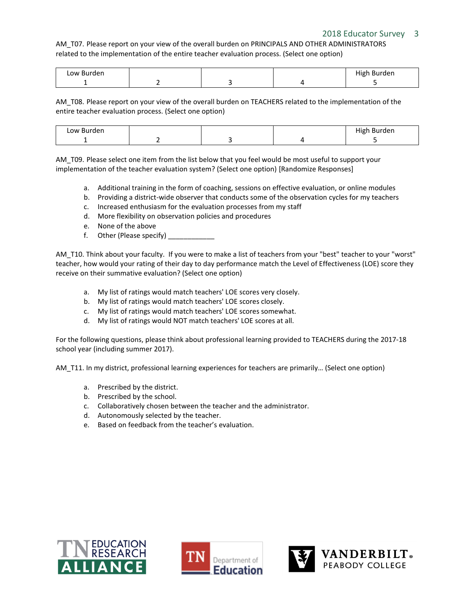## 2018 Educator Survey 3

AM\_T07. Please report on your view of the overall burden on PRINCIPALS AND OTHER ADMINISTRATORS related to the implementation of the entire teacher evaluation process. (Select one option)

| Low Burden<br>. |  | Hiσh<br>h Burden<br>. |
|-----------------|--|-----------------------|
|                 |  |                       |

AM\_T08. Please report on your view of the overall burden on TEACHERS related to the implementation of the entire teacher evaluation process. (Select one option)

| Low Burden |  | .<br><b>Burden</b><br>High<br>. |
|------------|--|---------------------------------|
|            |  |                                 |

AM T09. Please select one item from the list below that you feel would be most useful to support your implementation of the teacher evaluation system? (Select one option) [Randomize Responses]

- a. Additional training in the form of coaching, sessions on effective evaluation, or online modules
- b. Providing a district-wide observer that conducts some of the observation cycles for my teachers
- c. Increased enthusiasm for the evaluation processes from my staff
- d. More flexibility on observation policies and procedures
- e. None of the above
- f. Other (Please specify)

AM\_T10. Think about your faculty. If you were to make a list of teachers from your "best" teacher to your "worst" teacher, how would your rating of their day to day performance match the Level of Effectiveness (LOE) score they receive on their summative evaluation? (Select one option)

- a. My list of ratings would match teachers' LOE scores very closely.
- b. My list of ratings would match teachers' LOE scores closely.
- c. My list of ratings would match teachers' LOE scores somewhat.
- d. My list of ratings would NOT match teachers' LOE scores at all.

For the following questions, please think about professional learning provided to TEACHERS during the 2017-18 school year (including summer 2017).

AM T11. In my district, professional learning experiences for teachers are primarily... (Select one option)

- a. Prescribed by the district.
- b. Prescribed by the school.
- c. Collaboratively chosen between the teacher and the administrator.
- d. Autonomously selected by the teacher.
- e. Based on feedback from the teacher's evaluation.





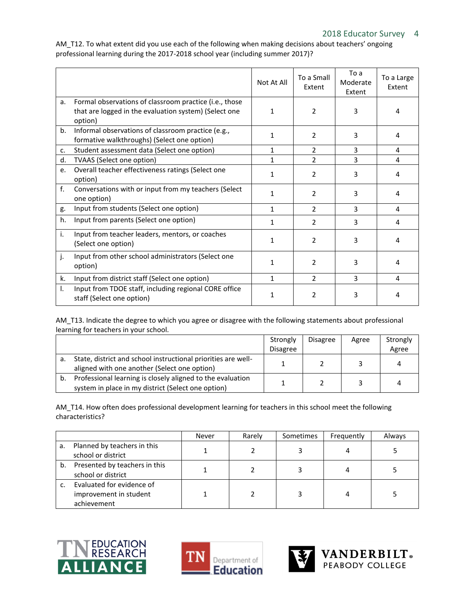Not At All  $\left| \begin{array}{c} \text{To a Small} \end{array} \right|$ Extent To a Moderate Extent To a Large Extent a. Formal observations of classroom practice (i.e., those that are logged in the evaluation system) (Select one option) 1 2 3 4 b. Informal observations of classroom practice (e.g., formative walkthroughs) (Select one option) <sup>1</sup> <sup>2</sup> <sup>3</sup> <sup>4</sup> c. Student assessment data (Select one option) 1 2 3 4 d. TVAAS (Select one option) 1 2 3 4 e. Overall teacher effectiveness ratings (Select one  $\frac{1}{2}$  aption)  $\frac{1}{2}$  and  $\frac{1}{2}$  and  $\frac{1}{2}$  and  $\frac{1}{2}$  and  $\frac{1}{2}$  and  $\frac{1}{2}$  and  $\frac{1}{2}$  and  $\frac{1}{2}$  and  $\frac{1}{2}$  and  $\frac{1}{2}$  and  $\frac{1}{2}$  and  $\frac{1}{2}$  and  $\frac{1}{2}$  and  $\frac{1}{2}$  and  $\frac{1}{2$ f. Conversations with or input from my teachers (Select  $\frac{1}{2}$  0ne option)  $\frac{1}{2}$   $\frac{3}{4}$   $\frac{4}{4}$ g. Input from students (Select one option) 1 2 3 4 h. Input from parents (Select one option)  $\begin{array}{ccc} | & 1 & | & 2 & | & 3 & | & 4 \end{array}$ i. Input from teacher leaders, mentors, or coaches  $S = \begin{bmatrix} \text{S (2)} & \text{S (2)} \\ \text{S (2)} & \text{S (2)} \end{bmatrix}$  (Select one option) j. Input from other school administrators (Select one option) 1 2 3 4 k. Input from district staff (Select one option) 1 2 3 4 l. Input from TDOE staff, including regional CORE office  $\frac{1}{\sqrt{3}}$  staff (Select one option)  $\begin{vmatrix} 1 & 2 & 3 & 4 \end{vmatrix}$ 

AM\_T12. To what extent did you use each of the following when making decisions about teachers' ongoing professional learning during the 2017-2018 school year (including summer 2017)?

AM\_T13. Indicate the degree to which you agree or disagree with the following statements about professional learning for teachers in your school.

|    |                                                                                                                  | Strongly<br><b>Disagree</b> | <b>Disagree</b> | Agree | Strongly<br>Agree |
|----|------------------------------------------------------------------------------------------------------------------|-----------------------------|-----------------|-------|-------------------|
| а. | State, district and school instructional priorities are well-<br>aligned with one another (Select one option)    |                             |                 |       |                   |
| b. | Professional learning is closely aligned to the evaluation<br>system in place in my district (Select one option) |                             |                 |       |                   |

AM T14. How often does professional development learning for teachers in this school meet the following characteristics?

|    |                                                                    | Never | Rarely | Sometimes | Frequently | Always |
|----|--------------------------------------------------------------------|-------|--------|-----------|------------|--------|
| a. | Planned by teachers in this<br>school or district                  |       |        |           |            |        |
| b. | Presented by teachers in this<br>school or district                |       |        |           |            |        |
|    | Evaluated for evidence of<br>improvement in student<br>achievement |       |        |           |            |        |